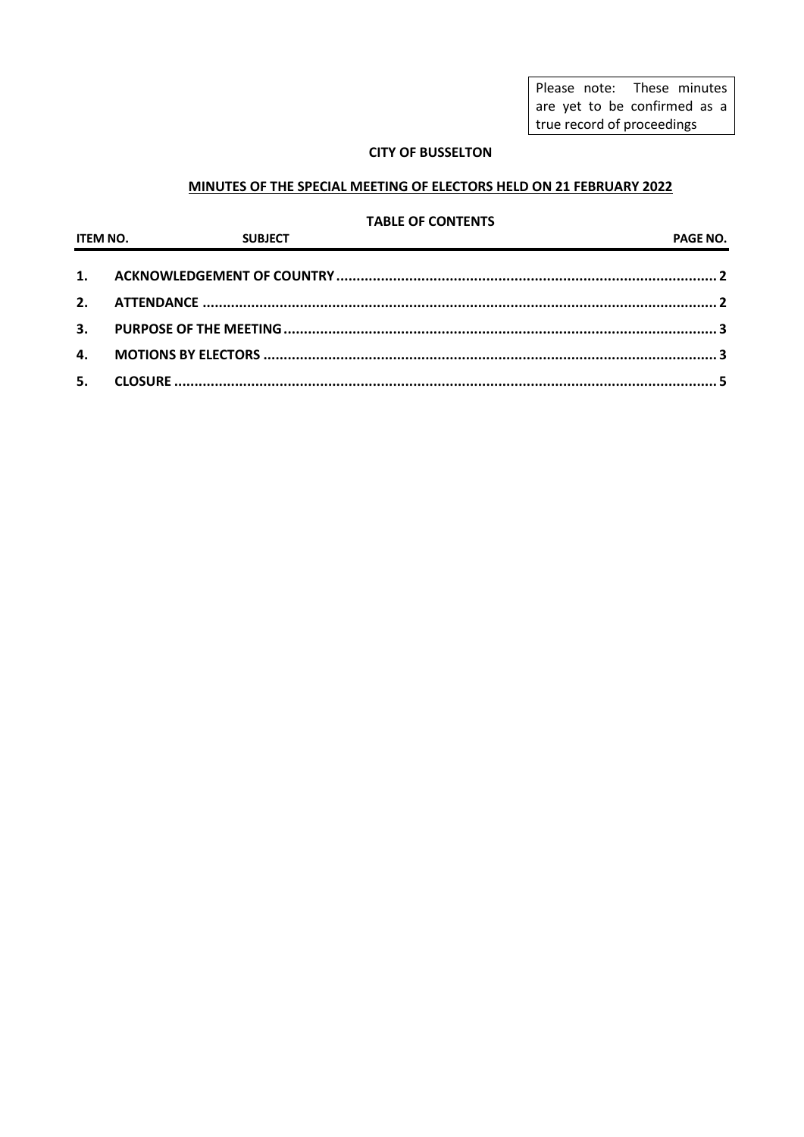Please note: These minutes are yet to be confirmed as a true record of proceedings

## **CITY OF BUSSELTON**

## **MINUTES OF THE SPECIAL MEETING OF ELECTORS HELD ON 21 FEBRUARY 2022**

#### **TABLE OF CONTENTS**

| <b>ITEM NO.</b> SUBJECT | PAGE NO. |
|-------------------------|----------|
|                         |          |
|                         |          |
|                         |          |
|                         |          |
|                         |          |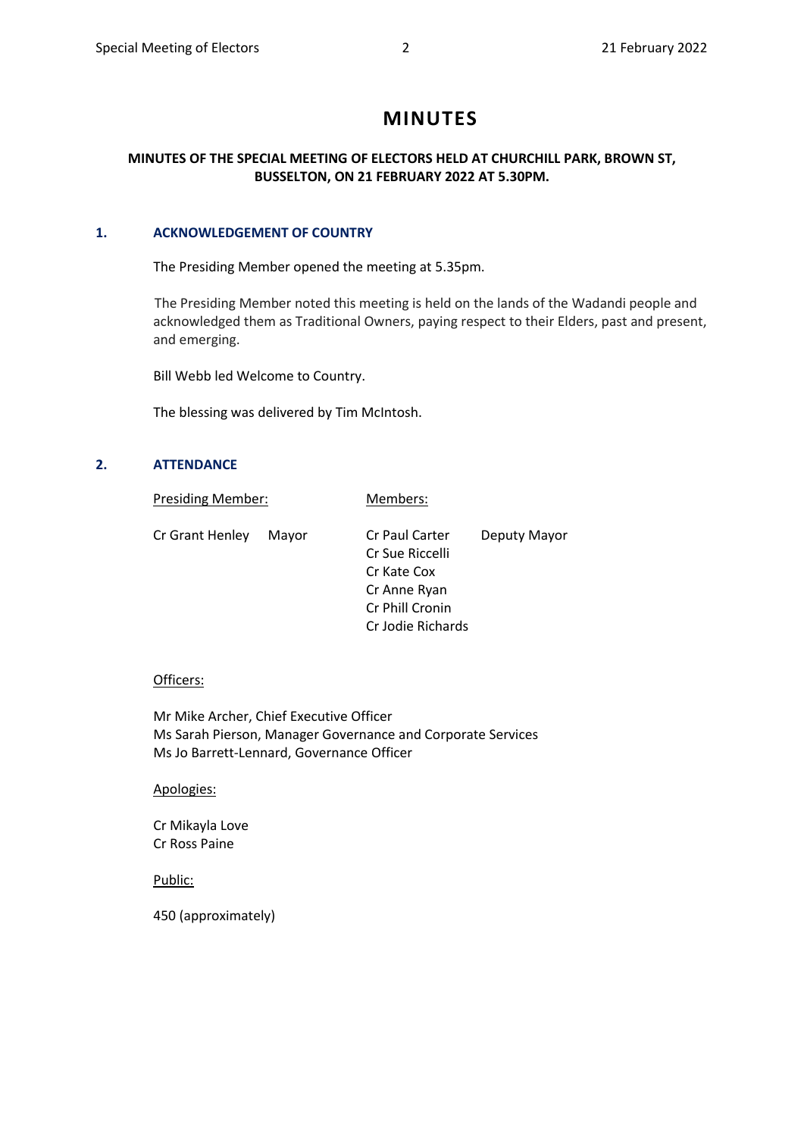# **MINUTES**

## **MINUTES OF THE SPECIAL MEETING OF ELECTORS HELD AT CHURCHILL PARK, BROWN ST, BUSSELTON, ON 21 FEBRUARY 2022 AT 5.30PM.**

## <span id="page-1-0"></span>**1. ACKNOWLEDGEMENT OF COUNTRY**

The Presiding Member opened the meeting at 5.35pm.

 The Presiding Member noted this meeting is held on the lands of the Wadandi people and acknowledged them as Traditional Owners, paying respect to their Elders, past and present, and emerging.

Bill Webb led Welcome to Country.

The blessing was delivered by Tim McIntosh.

#### <span id="page-1-1"></span>**2. ATTENDANCE**

| <b>Presiding Member:</b> |                 | Members:          |              |  |
|--------------------------|-----------------|-------------------|--------------|--|
| Cr Grant Henley          | Mavor           | Cr Paul Carter    | Deputy Mayor |  |
|                          | Cr Sue Riccelli |                   |              |  |
|                          |                 | Cr Kate Cox       |              |  |
|                          |                 | Cr Anne Ryan      |              |  |
|                          |                 | Cr Phill Cronin   |              |  |
|                          |                 | Cr Jodie Richards |              |  |

#### Officers:

Mr Mike Archer, Chief Executive Officer Ms Sarah Pierson, Manager Governance and Corporate Services Ms Jo Barrett-Lennard, Governance Officer

#### Apologies:

Cr Mikayla Love Cr Ross Paine

Public:

450 (approximately)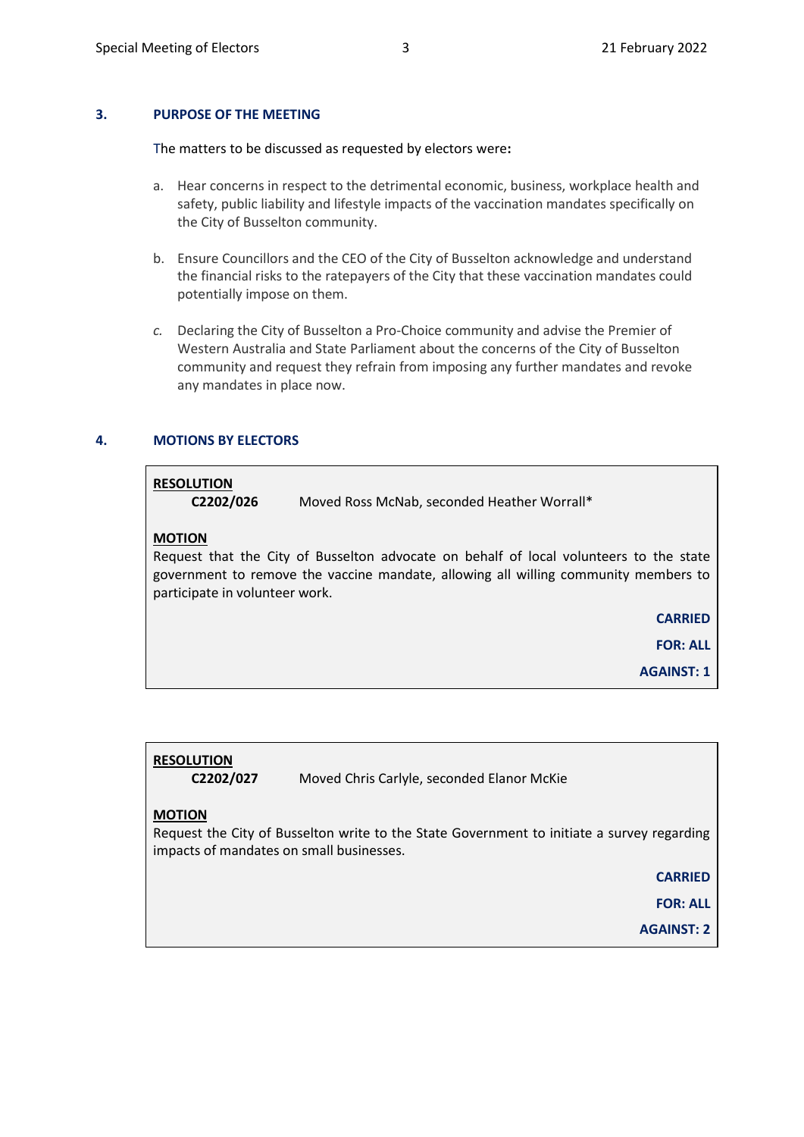## <span id="page-2-0"></span>**3. PURPOSE OF THE MEETING**

The matters to be discussed as requested by electors were**:**

- a. Hear concerns in respect to the detrimental economic, business, workplace health and safety, public liability and lifestyle impacts of the vaccination mandates specifically on the City of Busselton community.
- b. Ensure Councillors and the CEO of the City of Busselton acknowledge and understand the financial risks to the ratepayers of the City that these vaccination mandates could potentially impose on them.
- *c.* Declaring the City of Busselton a Pro-Choice community and advise the Premier of Western Australia and State Parliament about the concerns of the City of Busselton community and request they refrain from imposing any further mandates and revoke any mandates in place now.

#### <span id="page-2-1"></span>**4. MOTIONS BY ELECTORS**

#### **RESOLUTION**

**C2202/026** Moved Ross McNab, seconded Heather Worrall\*

#### **MOTION**

Request that the City of Busselton advocate on behalf of local volunteers to the state government to remove the vaccine mandate, allowing all willing community members to participate in volunteer work.

**CARRIED**

**FOR: ALL**

**AGAINST: 1**

## **RESOLUTION**

**C2202/027** Moved Chris Carlyle, seconded Elanor McKie

#### **MOTION**

Request the City of Busselton write to the State Government to initiate a survey regarding impacts of mandates on small businesses.

**CARRIED** 

**FOR: ALL**

**AGAINST: 2**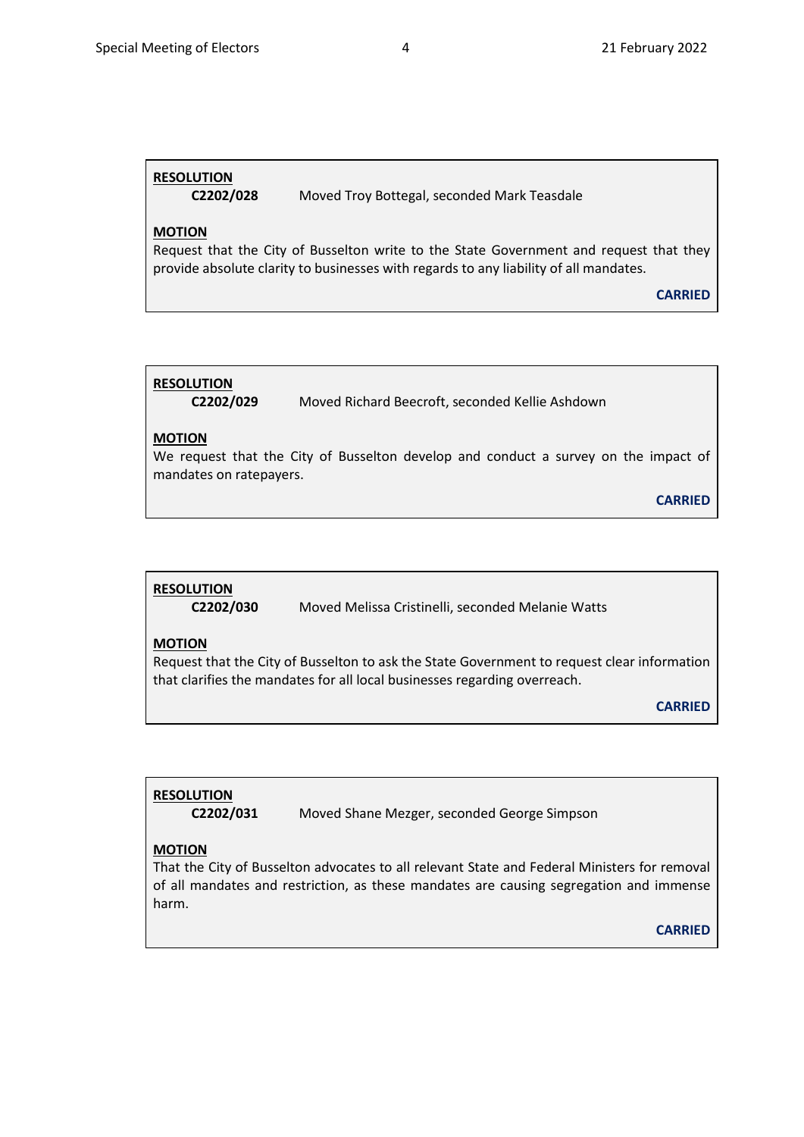# **RESOLUTION**

**C2202/028** Moved Troy Bottegal, seconded Mark Teasdale

## **MOTION**

Request that the City of Busselton write to the State Government and request that they provide absolute clarity to businesses with regards to any liability of all mandates.

**CARRIED**

## **RESOLUTION**

**C2202/029** Moved Richard Beecroft, seconded Kellie Ashdown

## **MOTION**

We request that the City of Busselton develop and conduct a survey on the impact of mandates on ratepayers.

**CARRIED** 

## **RESOLUTION**

**C2202/030** Moved Melissa Cristinelli, seconded Melanie Watts

## **MOTION**

Request that the City of Busselton to ask the State Government to request clear information that clarifies the mandates for all local businesses regarding overreach.

**CARRIED** 

## **RESOLUTION**

**C2202/031** Moved Shane Mezger, seconded George Simpson

## **MOTION**

That the City of Busselton advocates to all relevant State and Federal Ministers for removal of all mandates and restriction, as these mandates are causing segregation and immense harm.

**CARRIED**